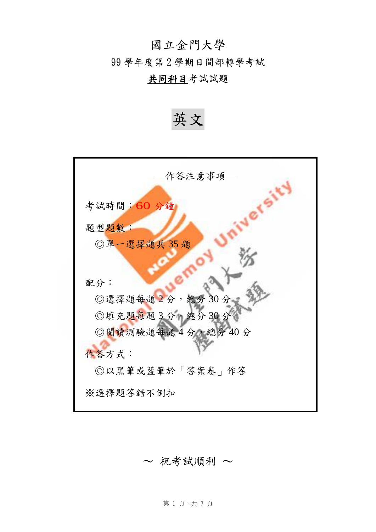# 國立金門大學

99 學年度第 2 學期日間部轉學考試

## 共同科目考試試題

英文



~ 祝考試順利 ~

第1頁,共7頁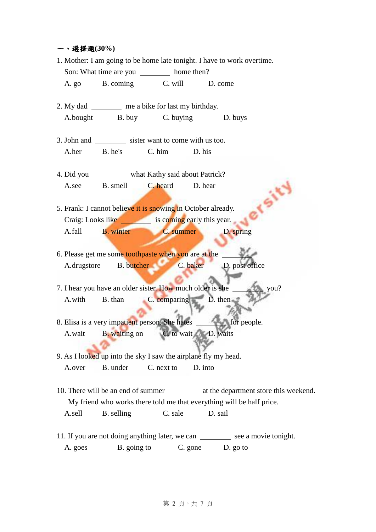## 一、選擇題**(30%)**

|                                                                                       |                                                      |                                                              | 1. Mother: I am going to be home late tonight. I have to work overtime. |  |  |  |  |
|---------------------------------------------------------------------------------------|------------------------------------------------------|--------------------------------------------------------------|-------------------------------------------------------------------------|--|--|--|--|
| Son: What time are you ___________ home then?                                         |                                                      |                                                              |                                                                         |  |  |  |  |
|                                                                                       |                                                      | A. go B. coming C. will D. come                              |                                                                         |  |  |  |  |
|                                                                                       |                                                      |                                                              |                                                                         |  |  |  |  |
|                                                                                       | 2. My dad __________ me a bike for last my birthday. |                                                              |                                                                         |  |  |  |  |
|                                                                                       |                                                      | A.bought B. buy C. buying D. buys                            |                                                                         |  |  |  |  |
|                                                                                       |                                                      |                                                              |                                                                         |  |  |  |  |
|                                                                                       |                                                      | 3. John and ____________ sister want to come with us too.    |                                                                         |  |  |  |  |
|                                                                                       |                                                      | A.her B. he's C. him D. his                                  |                                                                         |  |  |  |  |
| 4. Did you ___________ what Kathy said about Patrick?                                 |                                                      |                                                              |                                                                         |  |  |  |  |
|                                                                                       |                                                      | A.see B. smell C. heard D. hear                              |                                                                         |  |  |  |  |
|                                                                                       |                                                      |                                                              |                                                                         |  |  |  |  |
| 5. Frank: I cannot believe it is snowing in October already.                          |                                                      |                                                              |                                                                         |  |  |  |  |
| Craig: Looks like is coming early this year.                                          |                                                      |                                                              |                                                                         |  |  |  |  |
|                                                                                       |                                                      | A.fall B. winter C. summer D. spring                         |                                                                         |  |  |  |  |
|                                                                                       |                                                      |                                                              |                                                                         |  |  |  |  |
|                                                                                       |                                                      | 6. Please get me some toothpaste when you are at the _       |                                                                         |  |  |  |  |
|                                                                                       |                                                      |                                                              | A.drugstore B. butcher C. baker D. post office                          |  |  |  |  |
|                                                                                       |                                                      |                                                              |                                                                         |  |  |  |  |
|                                                                                       |                                                      | 7. I hear you have an older sister. How much older is she __ | you?                                                                    |  |  |  |  |
|                                                                                       |                                                      | A.with B. than C. comparing D. then                          |                                                                         |  |  |  |  |
|                                                                                       |                                                      |                                                              |                                                                         |  |  |  |  |
|                                                                                       |                                                      |                                                              | 8. Elisa is a very impatient person. She hates _________ for people.    |  |  |  |  |
| A.wait                                                                                |                                                      | B. waiting on C. to wait D. waits                            |                                                                         |  |  |  |  |
|                                                                                       |                                                      |                                                              |                                                                         |  |  |  |  |
| 9. As I looked up into the sky I saw the airplane fly my head.                        |                                                      |                                                              |                                                                         |  |  |  |  |
| A.over                                                                                | B. under                                             | C. next to                                                   | D. into                                                                 |  |  |  |  |
|                                                                                       |                                                      |                                                              |                                                                         |  |  |  |  |
| 10. There will be an end of summer ____________ at the department store this weekend. |                                                      |                                                              |                                                                         |  |  |  |  |
| My friend who works there told me that everything will be half price.                 |                                                      |                                                              |                                                                         |  |  |  |  |
| A.sell                                                                                | B. selling                                           | C. sale                                                      | D. sail                                                                 |  |  |  |  |
| 11. If you are not doing anything later, we can __________ see a movie tonight.       |                                                      |                                                              |                                                                         |  |  |  |  |
|                                                                                       |                                                      |                                                              |                                                                         |  |  |  |  |
| A. goes                                                                               | B. going to                                          | C. gone                                                      | D. go to                                                                |  |  |  |  |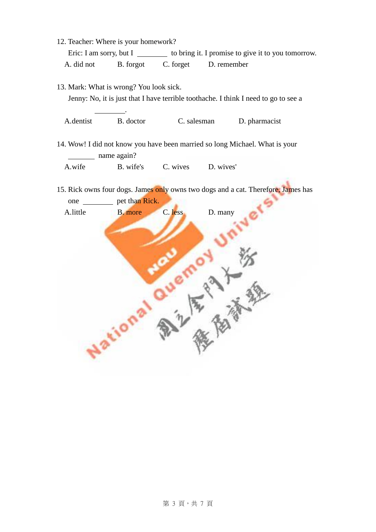| 12. Teacher: Where is your homework?                                                                                           |           |                                                    |               |  |  |  |  |  |
|--------------------------------------------------------------------------------------------------------------------------------|-----------|----------------------------------------------------|---------------|--|--|--|--|--|
| Eric: I am sorry, but I                                                                                                        |           | to bring it. I promise to give it to you tomorrow. |               |  |  |  |  |  |
| A. did not                                                                                                                     | B. forgot | C. forget                                          | D. remember   |  |  |  |  |  |
| 13. Mark: What is wrong? You look sick.<br>Jenny: No, it is just that I have terrible toothache. I think I need to go to see a |           |                                                    |               |  |  |  |  |  |
| A dentist                                                                                                                      | B. doctor | C. salesman                                        | D. pharmacist |  |  |  |  |  |

- 14. Wow! I did not know you have been married so long Michael. What is your name again? A.wife B. wife's C. wives D. wives'
- 15. Rick owns four dogs. James only owns two dogs and a cat. Therefore, James has

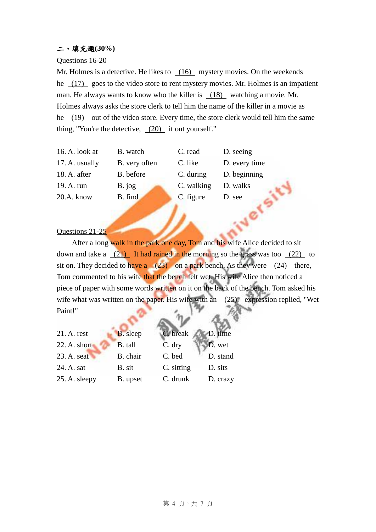## 二、填充題**(30%)**

### Questions 16-20

Mr. Holmes is a detective. He likes to (16) mystery movies. On the weekends he (17) goes to the video store to rent mystery movies. Mr. Holmes is an impatient man. He always wants to know who the killer is (18) watching a movie. Mr. Holmes always asks the store clerk to tell him the name of the killer in a movie as he (19) out of the video store. Every time, the store clerk would tell him the same thing, "You're the detective,  $(20)$  it out yourself."

16. A. look at B. watch C. read D. seeing 17. A. usually B. very often C. like D. every time 18. A. after B. before C. during D. beginning 19. A. run B. jog C. walking D. walks<br>
20.A. know B. find C. figure D. see<br>
Question 20.A. know B. find C. figure D. see

#### Questions 21-25

After a long walk in the park one day, Tom and his wife Alice decided to sit down and take a  $(21)$  It had rained in the morning so the grass was too  $(22)$  to sit on. They decided to have a  $(23)$  on a park bench. As they were  $(24)$  there, Tom commented to his wife that the bench felt wet. His wife Alice then noticed a piece of paper with some words written on it on the back of the bench. Tom asked his wife what was written on the paper. His wife with an (25) expression replied, "Wet Paint!"

| 21. A. rest   | <b>B.</b> sleep | C. break   | D. time  |
|---------------|-----------------|------------|----------|
| 22. A. short  | B. tall         | C. dry     | D. wet   |
| 23. A. seat   | B. chair        | C. bed     | D. stand |
| 24. A. sat    | B. sit          | C. sitting | D. sits  |
| 25. A. sleepy | B. upset        | C. drunk   | D. crazy |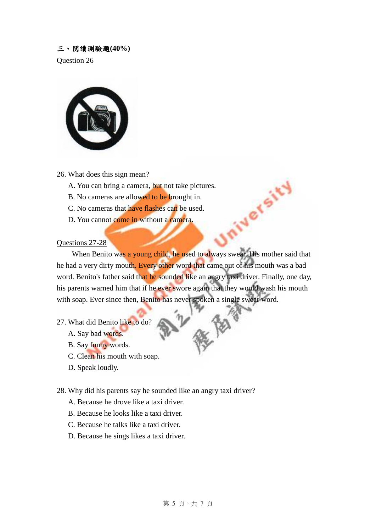## 三、閱讀測驗題**(40%)**

Question 26



26. What does this sign mean?

- A. You can bring a camera, but not take pictures.
- B. No cameras are allowed to be brought in.
- C. No cameras that have flashes can be used.
- D. You cannot come in without a camera.

#### Questions 27-28

When Benito was a young child, he used to always swear. His mother said that he had a very dirty mouth. Every other word that came out of his mouth was a bad word. Benito's father said that he sounded like an angry taxi driver. Finally, one day, his parents warned him that if he ever swore again that they would wash his mouth with soap. Ever since then, Benito has never spoken a single swear word.

- 27. What did Benito like to do?
	- A. Say bad words.
	- B. Say funny words.
	- C. Clean his mouth with soap.
	- D. Speak loudly.

### 28. Why did his parents say he sounded like an angry taxi driver?

- A. Because he drove like a taxi driver.
- B. Because he looks like a taxi driver.
- C. Because he talks like a taxi driver.
- D. Because he sings likes a taxi driver.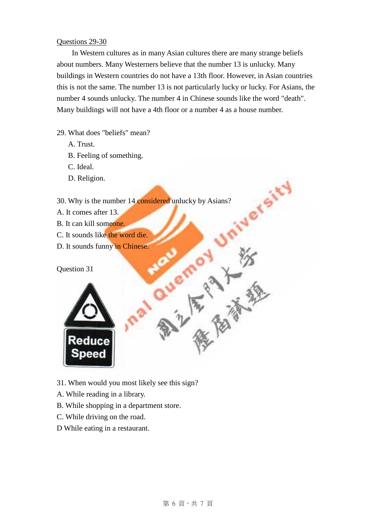## Questions 29-30

In Western cultures as in many Asian cultures there are many strange beliefs about numbers. Many Westerners believe that the number 13 is unlucky. Many buildings in Western countries do not have a 13th floor. However, in Asian countries this is not the same. The number 13 is not particularly lucky or lucky. For Asians, the number 4 sounds unlucky. The number 4 in Chinese sounds like the word "death". Many buildings will not have a 4th floor or a number 4 as a house number.

iversit'

**PART REPAIR** 

29. What does "beliefs" mean?

- A. Trust.
- B. Feeling of something.
- C. Ideal.
- D. Religion.

30. Why is the number 14 considered unlucky by Asians?

- A. It comes after 13.
- B. It can kill someone.
- C. It sounds like the word die.
- D. It sounds funny in Chinese.

Question 31



- 31. When would you most likely see this sign?
- A. While reading in a library.
- B. While shopping in a department store.
- C. While driving on the road.
- D While eating in a restaurant.